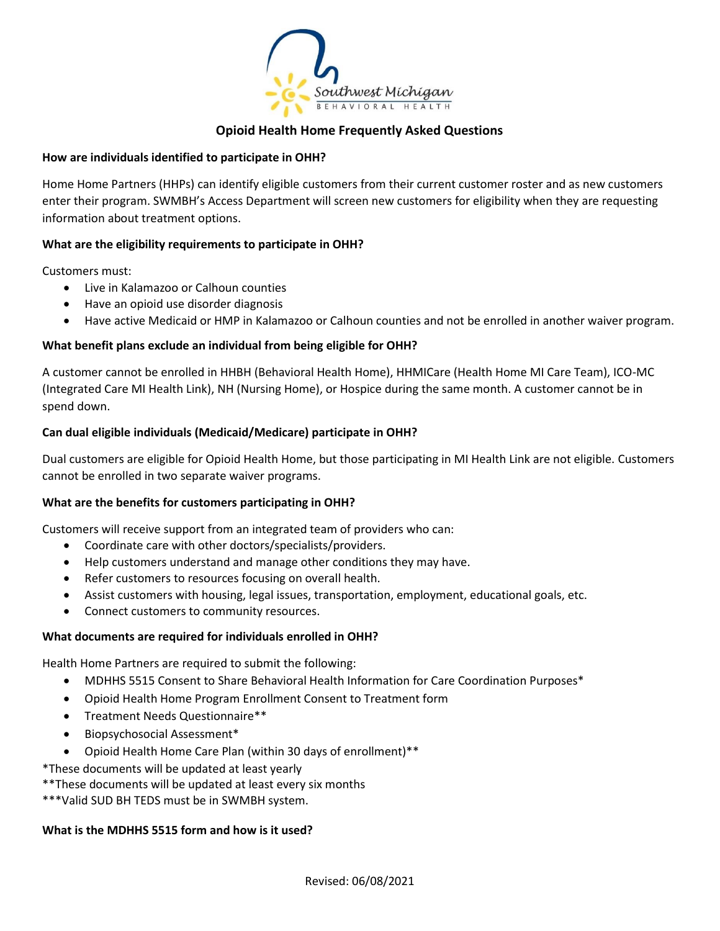

## **Opioid Health Home Frequently Asked Questions**

### **How are individuals identified to participate in OHH?**

Home Home Partners (HHPs) can identify eligible customers from their current customer roster and as new customers enter their program. SWMBH's Access Department will screen new customers for eligibility when they are requesting information about treatment options.

### **What are the eligibility requirements to participate in OHH?**

Customers must:

- Live in Kalamazoo or Calhoun counties
- Have an opioid use disorder diagnosis
- Have active Medicaid or HMP in Kalamazoo or Calhoun counties and not be enrolled in another waiver program.

### **What benefit plans exclude an individual from being eligible for OHH?**

A customer cannot be enrolled in HHBH (Behavioral Health Home), HHMICare (Health Home MI Care Team), ICO-MC (Integrated Care MI Health Link), NH (Nursing Home), or Hospice during the same month. A customer cannot be in spend down.

### **Can dual eligible individuals (Medicaid/Medicare) participate in OHH?**

Dual customers are eligible for Opioid Health Home, but those participating in MI Health Link are not eligible. Customers cannot be enrolled in two separate waiver programs.

### **What are the benefits for customers participating in OHH?**

Customers will receive support from an integrated team of providers who can:

- Coordinate care with other doctors/specialists/providers.
- Help customers understand and manage other conditions they may have.
- Refer customers to resources focusing on overall health.
- Assist customers with housing, legal issues, transportation, employment, educational goals, etc.
- Connect customers to community resources.

#### **What documents are required for individuals enrolled in OHH?**

Health Home Partners are required to submit the following:

- MDHHS 5515 Consent to Share Behavioral Health Information for Care Coordination Purposes\*
- Opioid Health Home Program Enrollment Consent to Treatment form
- Treatment Needs Questionnaire\*\*
- Biopsychosocial Assessment\*
- Opioid Health Home Care Plan (within 30 days of enrollment)\*\*

\*These documents will be updated at least yearly

\*\*These documents will be updated at least every six months

\*\*\*Valid SUD BH TEDS must be in SWMBH system.

#### **What is the MDHHS 5515 form and how is it used?**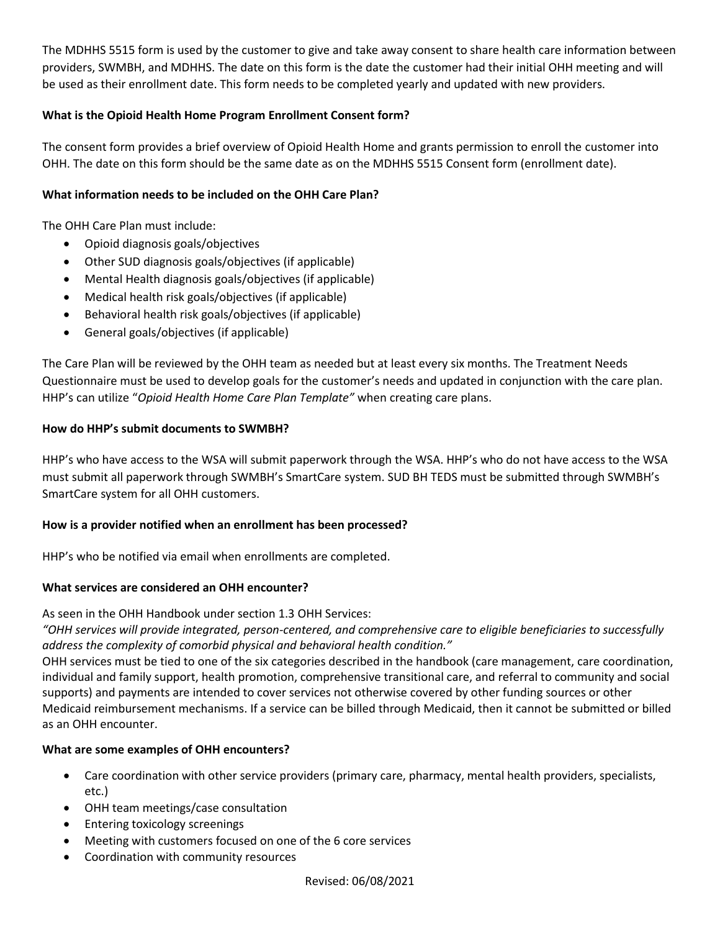The MDHHS 5515 form is used by the customer to give and take away consent to share health care information between providers, SWMBH, and MDHHS. The date on this form is the date the customer had their initial OHH meeting and will be used as their enrollment date. This form needs to be completed yearly and updated with new providers.

# **What is the Opioid Health Home Program Enrollment Consent form?**

The consent form provides a brief overview of Opioid Health Home and grants permission to enroll the customer into OHH. The date on this form should be the same date as on the MDHHS 5515 Consent form (enrollment date).

# **What information needs to be included on the OHH Care Plan?**

The OHH Care Plan must include:

- Opioid diagnosis goals/objectives
- Other SUD diagnosis goals/objectives (if applicable)
- Mental Health diagnosis goals/objectives (if applicable)
- Medical health risk goals/objectives (if applicable)
- Behavioral health risk goals/objectives (if applicable)
- General goals/objectives (if applicable)

The Care Plan will be reviewed by the OHH team as needed but at least every six months. The Treatment Needs Questionnaire must be used to develop goals for the customer's needs and updated in conjunction with the care plan. HHP's can utilize "*Opioid Health Home Care Plan Template"* when creating care plans.

## **How do HHP's submit documents to SWMBH?**

HHP's who have access to the WSA will submit paperwork through the WSA. HHP's who do not have access to the WSA must submit all paperwork through SWMBH's SmartCare system. SUD BH TEDS must be submitted through SWMBH's SmartCare system for all OHH customers.

### **How is a provider notified when an enrollment has been processed?**

HHP's who be notified via email when enrollments are completed.

### **What services are considered an OHH encounter?**

As seen in the OHH Handbook under section 1.3 OHH Services:

*"OHH services will provide integrated, person-centered, and comprehensive care to eligible beneficiaries to successfully address the complexity of comorbid physical and behavioral health condition."*

OHH services must be tied to one of the six categories described in the handbook (care management, care coordination, individual and family support, health promotion, comprehensive transitional care, and referral to community and social supports) and payments are intended to cover services not otherwise covered by other funding sources or other Medicaid reimbursement mechanisms. If a service can be billed through Medicaid, then it cannot be submitted or billed as an OHH encounter.

# **What are some examples of OHH encounters?**

- Care coordination with other service providers (primary care, pharmacy, mental health providers, specialists, etc.)
- OHH team meetings/case consultation
- Entering toxicology screenings
- Meeting with customers focused on one of the 6 core services
- Coordination with community resources